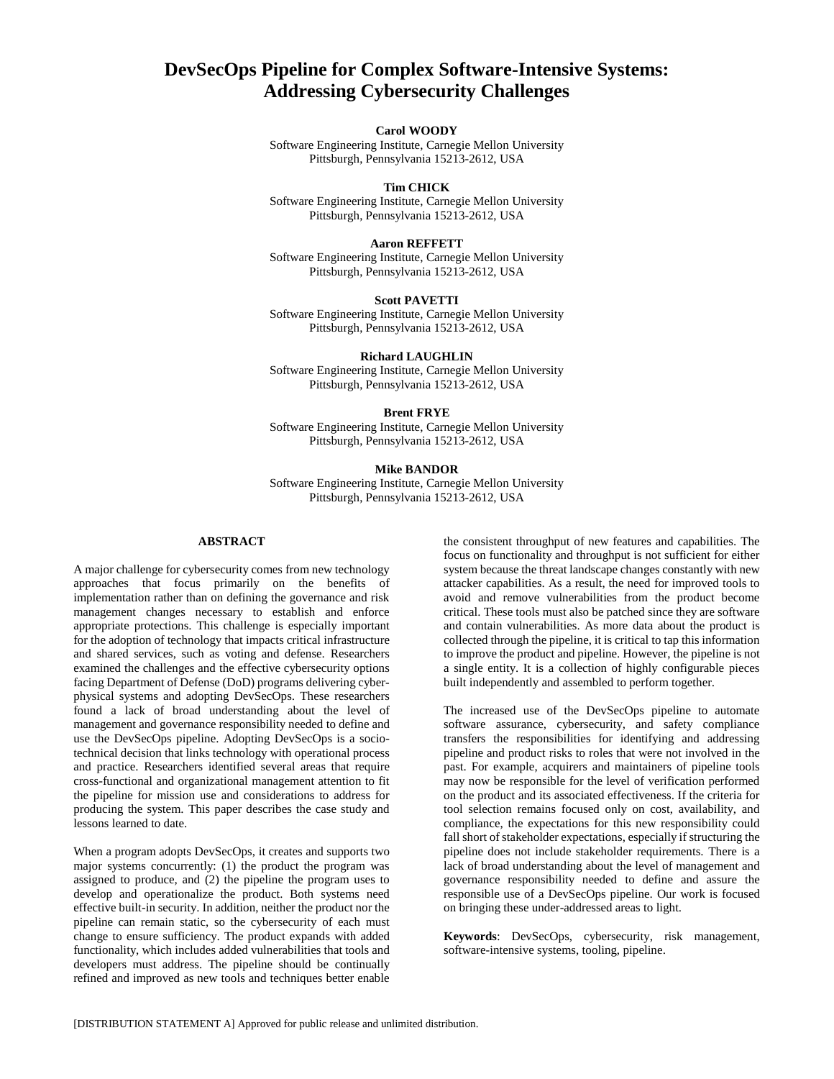# **DevSecOps Pipeline for Complex Software-Intensive Systems: Addressing Cybersecurity Challenges**

## **Carol WOODY**

Software Engineering Institute, Carnegie Mellon University Pittsburgh, Pennsylvania 15213-2612, USA

## **Tim CHICK**

Software Engineering Institute, Carnegie Mellon University Pittsburgh, Pennsylvania 15213-2612, USA

#### **Aaron REFFETT**

Software Engineering Institute, Carnegie Mellon University Pittsburgh, Pennsylvania 15213-2612, USA

## **Scott PAVETTI**

Software Engineering Institute, Carnegie Mellon University Pittsburgh, Pennsylvania 15213-2612, USA

## **Richard LAUGHLIN**

Software Engineering Institute, Carnegie Mellon University Pittsburgh, Pennsylvania 15213-2612, USA

## **Brent FRYE**

Software Engineering Institute, Carnegie Mellon University Pittsburgh, Pennsylvania 15213-2612, USA

## **Mike BANDOR**

Software Engineering Institute, Carnegie Mellon University Pittsburgh, Pennsylvania 15213-2612, USA

## **ABSTRACT**

A major challenge for cybersecurity comes from new technology approaches that focus primarily on the benefits of implementation rather than on defining the governance and risk management changes necessary to establish and enforce appropriate protections. This challenge is especially important for the adoption of technology that impacts critical infrastructure and shared services, such as voting and defense. Researchers examined the challenges and the effective cybersecurity options facing Department of Defense (DoD) programs delivering cyberphysical systems and adopting DevSecOps. These researchers found a lack of broad understanding about the level of management and governance responsibility needed to define and use the DevSecOps pipeline. Adopting DevSecOps is a sociotechnical decision that links technology with operational process and practice. Researchers identified several areas that require cross-functional and organizational management attention to fit the pipeline for mission use and considerations to address for producing the system. This paper describes the case study and lessons learned to date.

When a program adopts DevSecOps, it creates and supports two major systems concurrently: (1) the product the program was assigned to produce, and (2) the pipeline the program uses to develop and operationalize the product. Both systems need effective built-in security. In addition, neither the product nor the pipeline can remain static, so the cybersecurity of each must change to ensure sufficiency. The product expands with added functionality, which includes added vulnerabilities that tools and developers must address. The pipeline should be continually refined and improved as new tools and techniques better enable

the consistent throughput of new features and capabilities. The focus on functionality and throughput is not sufficient for either system because the threat landscape changes constantly with new attacker capabilities. As a result, the need for improved tools to avoid and remove vulnerabilities from the product become critical. These tools must also be patched since they are software and contain vulnerabilities. As more data about the product is collected through the pipeline, it is critical to tap this information to improve the product and pipeline. However, the pipeline is not a single entity. It is a collection of highly configurable pieces built independently and assembled to perform together.

The increased use of the DevSecOps pipeline to automate software assurance, cybersecurity, and safety compliance transfers the responsibilities for identifying and addressing pipeline and product risks to roles that were not involved in the past. For example, acquirers and maintainers of pipeline tools may now be responsible for the level of verification performed on the product and its associated effectiveness. If the criteria for tool selection remains focused only on cost, availability, and compliance, the expectations for this new responsibility could fall short of stakeholder expectations, especially if structuring the pipeline does not include stakeholder requirements. There is a lack of broad understanding about the level of management and governance responsibility needed to define and assure the responsible use of a DevSecOps pipeline. Our work is focused on bringing these under-addressed areas to light.

**Keywords**: DevSecOps, cybersecurity, risk management, software-intensive systems, tooling, pipeline.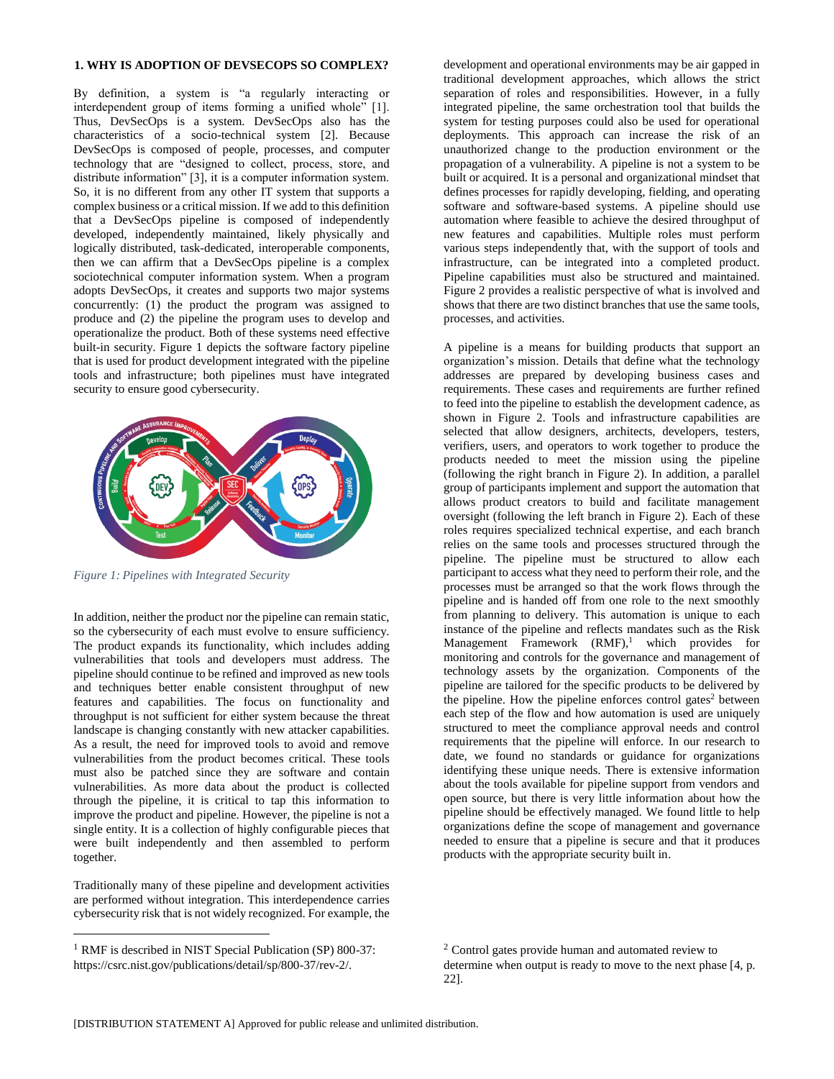## **1. WHY IS ADOPTION OF DEVSECOPS SO COMPLEX?**

By definition, a system is "a regularly interacting or interdependent group of items forming a unified whole" [1]. Thus, DevSecOps is a system. DevSecOps also has the characteristics of a socio-technical system [2]. Because DevSecOps is composed of people, processes, and computer technology that are "designed to collect, process, store, and distribute information" [3], it is a computer information system. So, it is no different from any other IT system that supports a complex business or a critical mission. If we add to this definition that a DevSecOps pipeline is composed of independently developed, independently maintained, likely physically and logically distributed, task-dedicated, interoperable components, then we can affirm that a DevSecOps pipeline is a complex sociotechnical computer information system. When a program adopts DevSecOps, it creates and supports two major systems concurrently: (1) the product the program was assigned to produce and (2) the pipeline the program uses to develop and operationalize the product. Both of these systems need effective built-in security. Figure 1 depicts the software factory pipeline that is used for product development integrated with the pipeline tools and infrastructure; both pipelines must have integrated security to ensure good cybersecurity.



*Figure 1: Pipelines with Integrated Security*

In addition, neither the product nor the pipeline can remain static, so the cybersecurity of each must evolve to ensure sufficiency. The product expands its functionality, which includes adding vulnerabilities that tools and developers must address. The pipeline should continue to be refined and improved as new tools and techniques better enable consistent throughput of new features and capabilities. The focus on functionality and throughput is not sufficient for either system because the threat landscape is changing constantly with new attacker capabilities. As a result, the need for improved tools to avoid and remove vulnerabilities from the product becomes critical. These tools must also be patched since they are software and contain vulnerabilities. As more data about the product is collected through the pipeline, it is critical to tap this information to improve the product and pipeline. However, the pipeline is not a single entity. It is a collection of highly configurable pieces that were built independently and then assembled to perform together.

Traditionally many of these pipeline and development activities are performed without integration. This interdependence carries cybersecurity risk that is not widely recognized. For example, the

 $\overline{a}$ 

development and operational environments may be air gapped in traditional development approaches, which allows the strict separation of roles and responsibilities. However, in a fully integrated pipeline, the same orchestration tool that builds the system for testing purposes could also be used for operational deployments. This approach can increase the risk of an unauthorized change to the production environment or the propagation of a vulnerability. A pipeline is not a system to be built or acquired. It is a personal and organizational mindset that defines processes for rapidly developing, fielding, and operating software and software-based systems. A pipeline should use automation where feasible to achieve the desired throughput of new features and capabilities. Multiple roles must perform various steps independently that, with the support of tools and infrastructure, can be integrated into a completed product. Pipeline capabilities must also be structured and maintained. Figure 2 provides a realistic perspective of what is involved and shows that there are two distinct branches that use the same tools, processes, and activities.

A pipeline is a means for building products that support an organization's mission. Details that define what the technology addresses are prepared by developing business cases and requirements. These cases and requirements are further refined to feed into the pipeline to establish the development cadence, as shown in Figure 2. Tools and infrastructure capabilities are selected that allow designers, architects, developers, testers, verifiers, users, and operators to work together to produce the products needed to meet the mission using the pipeline (following the right branch in Figure 2). In addition, a parallel group of participants implement and support the automation that allows product creators to build and facilitate management oversight (following the left branch in Figure 2). Each of these roles requires specialized technical expertise, and each branch relies on the same tools and processes structured through the pipeline. The pipeline must be structured to allow each participant to access what they need to perform their role, and the processes must be arranged so that the work flows through the pipeline and is handed off from one role to the next smoothly from planning to delivery. This automation is unique to each instance of the pipeline and reflects mandates such as the Risk Management Framework (RMF), <sup>1</sup> which provides for monitoring and controls for the governance and management of technology assets by the organization. Components of the pipeline are tailored for the specific products to be delivered by the pipeline. How the pipeline enforces control gates<sup>2</sup> between each step of the flow and how automation is used are uniquely structured to meet the compliance approval needs and control requirements that the pipeline will enforce. In our research to date, we found no standards or guidance for organizations identifying these unique needs. There is extensive information about the tools available for pipeline support from vendors and open source, but there is very little information about how the pipeline should be effectively managed. We found little to help organizations define the scope of management and governance needed to ensure that a pipeline is secure and that it produces products with the appropriate security built in.

<sup>&</sup>lt;sup>1</sup> RMF is described in NIST Special Publication (SP) 800-37: https://csrc.nist.gov/publications/detail/sp/800-37/rev-2/.

<sup>2</sup> Control gates provide human and automated review to determine when output is ready to move to the next phase [4, p. 22].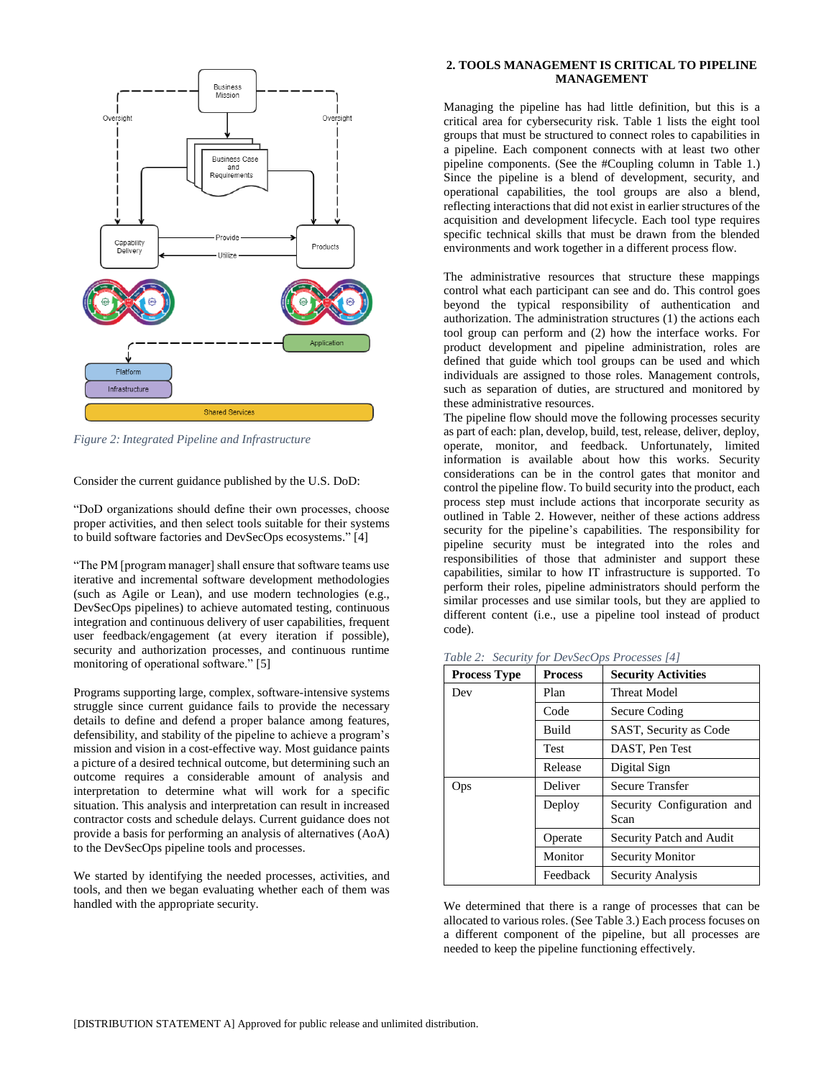

*Figure 2: Integrated Pipeline and Infrastructure*

Consider the current guidance published by the U.S. DoD:

"DoD organizations should define their own processes, choose proper activities, and then select tools suitable for their systems to build software factories and DevSecOps ecosystems." [4]

"The PM [program manager] shall ensure that software teams use iterative and incremental software development methodologies (such as Agile or Lean), and use modern technologies (e.g., DevSecOps pipelines) to achieve automated testing, continuous integration and continuous delivery of user capabilities, frequent user feedback/engagement (at every iteration if possible), security and authorization processes, and continuous runtime monitoring of operational software." [5]

Programs supporting large, complex, software-intensive systems struggle since current guidance fails to provide the necessary details to define and defend a proper balance among features, defensibility, and stability of the pipeline to achieve a program's mission and vision in a cost-effective way. Most guidance paints a picture of a desired technical outcome, but determining such an outcome requires a considerable amount of analysis and interpretation to determine what will work for a specific situation. This analysis and interpretation can result in increased contractor costs and schedule delays. Current guidance does not provide a basis for performing an analysis of alternatives (AoA) to the DevSecOps pipeline tools and processes.

We started by identifying the needed processes, activities, and tools, and then we began evaluating whether each of them was handled with the appropriate security.

## **2. TOOLS MANAGEMENT IS CRITICAL TO PIPELINE MANAGEMENT**

Managing the pipeline has had little definition, but this is a critical area for cybersecurity risk. Table 1 lists the eight tool groups that must be structured to connect roles to capabilities in a pipeline. Each component connects with at least two other pipeline components. (See the #Coupling column in Table 1.) Since the pipeline is a blend of development, security, and operational capabilities, the tool groups are also a blend, reflecting interactions that did not exist in earlier structures of the acquisition and development lifecycle. Each tool type requires specific technical skills that must be drawn from the blended environments and work together in a different process flow.

The administrative resources that structure these mappings control what each participant can see and do. This control goes beyond the typical responsibility of authentication and authorization. The administration structures (1) the actions each tool group can perform and (2) how the interface works. For product development and pipeline administration, roles are defined that guide which tool groups can be used and which individuals are assigned to those roles. Management controls, such as separation of duties, are structured and monitored by these administrative resources.

The pipeline flow should move the following processes security as part of each: plan, develop, build, test, release, deliver, deploy, operate, monitor, and feedback. Unfortunately, limited information is available about how this works. Security considerations can be in the control gates that monitor and control the pipeline flow. To build security into the product, each process step must include actions that incorporate security as outlined in Table 2. However, neither of these actions address security for the pipeline's capabilities. The responsibility for pipeline security must be integrated into the roles and responsibilities of those that administer and support these capabilities, similar to how IT infrastructure is supported. To perform their roles, pipeline administrators should perform the similar processes and use similar tools, but they are applied to different content (i.e., use a pipeline tool instead of product code).

| <b>Process Type</b> | <b>Process</b> | <b>Security Activities</b>         |  |
|---------------------|----------------|------------------------------------|--|
| Dev                 | Plan           | <b>Threat Model</b>                |  |
|                     | Code           | Secure Coding                      |  |
|                     | <b>Build</b>   | SAST, Security as Code             |  |
|                     | <b>Test</b>    | DAST, Pen Test                     |  |
|                     | Release        | Digital Sign                       |  |
| Ops                 | Deliver        | <b>Secure Transfer</b>             |  |
|                     | Deploy         | Security Configuration and<br>Scan |  |
|                     | Operate        | Security Patch and Audit           |  |
|                     | Monitor        | <b>Security Monitor</b>            |  |
|                     | Feedback       | Security Analysis                  |  |

*Table 2: Security for DevSecOps Processes [4]*

We determined that there is a range of processes that can be allocated to various roles. (See Table 3.) Each process focuses on a different component of the pipeline, but all processes are needed to keep the pipeline functioning effectively.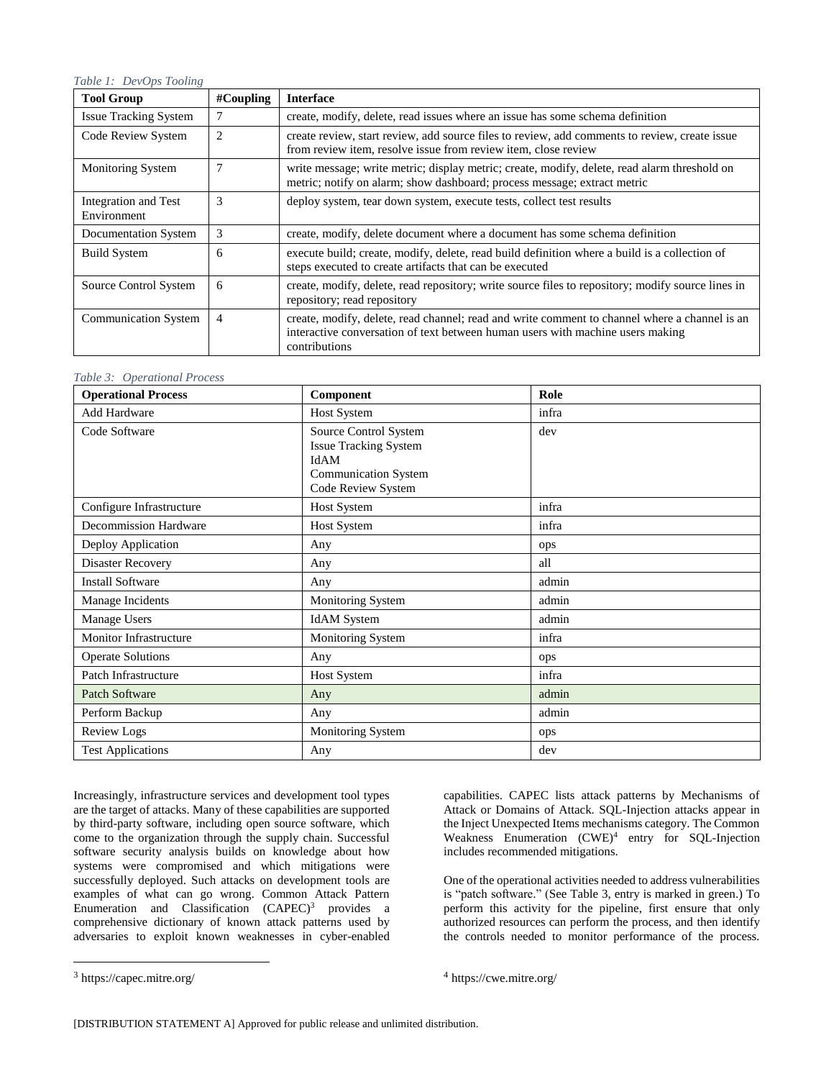## *Table 1: DevOps Tooling*

| <b>Tool Group</b>                   | $\#$ Coupling  | <b>Interface</b>                                                                                                                                                                                 |  |
|-------------------------------------|----------------|--------------------------------------------------------------------------------------------------------------------------------------------------------------------------------------------------|--|
| <b>Issue Tracking System</b>        | 7              | create, modify, delete, read issues where an issue has some schema definition                                                                                                                    |  |
| Code Review System                  | $\overline{2}$ | create review, start review, add source files to review, add comments to review, create issue<br>from review item, resolve issue from review item, close review                                  |  |
| Monitoring System                   | 7              | write message; write metric; display metric; create, modify, delete, read alarm threshold on<br>metric; notify on alarm; show dashboard; process message; extract metric                         |  |
| Integration and Test<br>Environment | 3              | deploy system, tear down system, execute tests, collect test results                                                                                                                             |  |
| Documentation System                | 3              | create, modify, delete document where a document has some schema definition                                                                                                                      |  |
| <b>Build System</b>                 | 6              | execute build; create, modify, delete, read build definition where a build is a collection of<br>steps executed to create artifacts that can be executed                                         |  |
| Source Control System               | 6              | create, modify, delete, read repository; write source files to repository; modify source lines in<br>repository; read repository                                                                 |  |
| <b>Communication System</b>         | 4              | create, modify, delete, read channel; read and write comment to channel where a channel is an<br>interactive conversation of text between human users with machine users making<br>contributions |  |

## *Table 3: Operational Process*

| <b>Operational Process</b> | Component                                                                                                          | Role  |
|----------------------------|--------------------------------------------------------------------------------------------------------------------|-------|
| <b>Add Hardware</b>        | <b>Host System</b>                                                                                                 | infra |
| Code Software              | Source Control System<br><b>Issue Tracking System</b><br>IdAM<br><b>Communication System</b><br>Code Review System | dev   |
| Configure Infrastructure   | <b>Host System</b>                                                                                                 | infra |
| Decommission Hardware      | <b>Host System</b>                                                                                                 | infra |
| Deploy Application         | Any                                                                                                                | ops   |
| Disaster Recovery          | Any                                                                                                                | all   |
| <b>Install Software</b>    | Any                                                                                                                | admin |
| Manage Incidents           | Monitoring System                                                                                                  | admin |
| Manage Users               | <b>IdAM</b> System                                                                                                 | admin |
| Monitor Infrastructure     | Monitoring System                                                                                                  | infra |
| <b>Operate Solutions</b>   | Any                                                                                                                | ops   |
| Patch Infrastructure       | Host System                                                                                                        | infra |
| <b>Patch Software</b>      | Any                                                                                                                | admin |
| Perform Backup             | Any                                                                                                                | admin |
| <b>Review Logs</b>         | Monitoring System                                                                                                  | ops   |
| <b>Test Applications</b>   | Any                                                                                                                | dev   |

Increasingly, infrastructure services and development tool types are the target of attacks. Many of these capabilities are supported by third-party software, including open source software, which come to the organization through the supply chain. Successful software security analysis builds on knowledge about how systems were compromised and which mitigations were successfully deployed. Such attacks on development tools are examples of what can go wrong. Common Attack Pattern Enumeration and Classification (CAPEC)<sup>3</sup> provides a comprehensive dictionary of known attack patterns used by adversaries to exploit known weaknesses in cyber-enabled

 $\overline{a}$ 

capabilities. CAPEC lists attack patterns by Mechanisms of Attack or Domains of Attack. SQL-Injection attacks appear in the Inject Unexpected Items mechanisms category. The Common Weakness Enumeration (CWE)<sup>4</sup> entry for SQL-Injection includes recommended mitigations.

One of the operational activities needed to address vulnerabilities is "patch software." (See Table 3, entry is marked in green.) To perform this activity for the pipeline, first ensure that only authorized resources can perform the process, and then identify the controls needed to monitor performance of the process.

4 https://cwe.mitre.org/

<sup>3</sup> https://capec.mitre.org/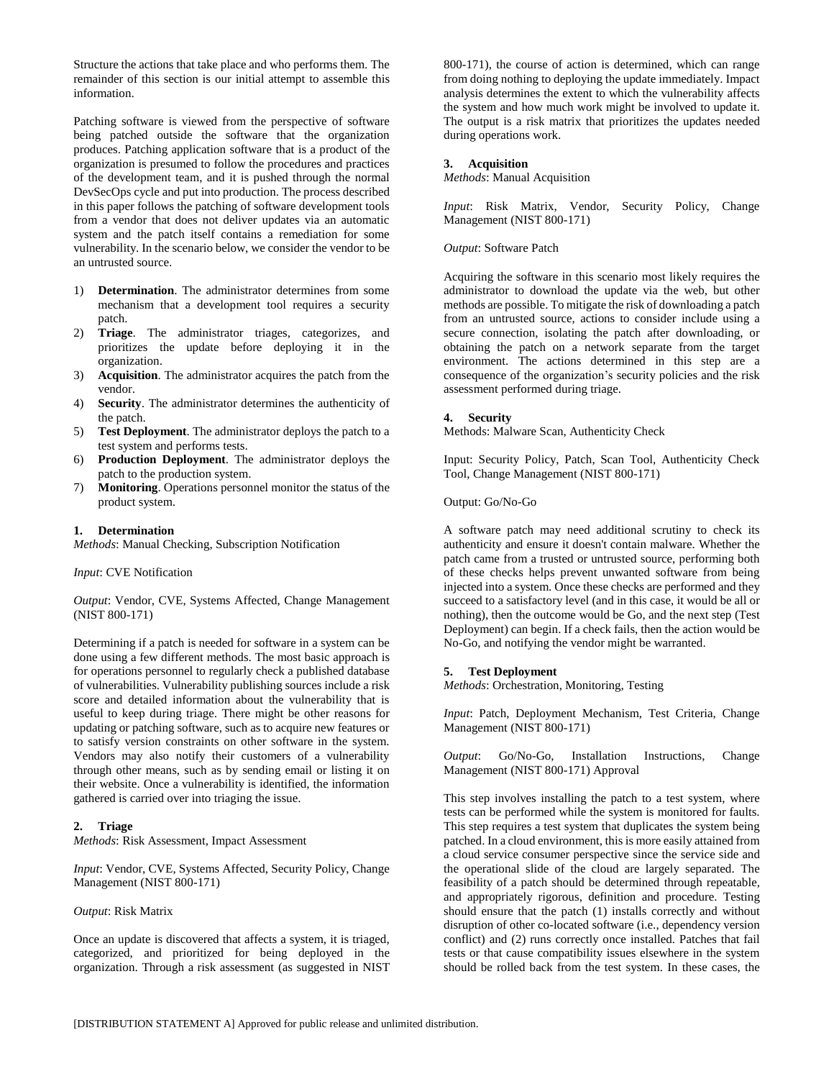Structure the actions that take place and who performs them. The remainder of this section is our initial attempt to assemble this information.

Patching software is viewed from the perspective of software being patched outside the software that the organization produces. Patching application software that is a product of the organization is presumed to follow the procedures and practices of the development team, and it is pushed through the normal DevSecOps cycle and put into production. The process described in this paper follows the patching of software development tools from a vendor that does not deliver updates via an automatic system and the patch itself contains a remediation for some vulnerability. In the scenario below, we consider the vendor to be an untrusted source.

- 1) **Determination**. The administrator determines from some mechanism that a development tool requires a security patch.
- 2) **Triage**. The administrator triages, categorizes, and prioritizes the update before deploying it in the organization.
- 3) **Acquisition**. The administrator acquires the patch from the vendor.
- 4) **Security**. The administrator determines the authenticity of the patch.
- 5) **Test Deployment**. The administrator deploys the patch to a test system and performs tests.
- 6) **Production Deployment**. The administrator deploys the patch to the production system.
- 7) **Monitoring**. Operations personnel monitor the status of the product system.

## **1. Determination**

*Methods*: Manual Checking, Subscription Notification

## *Input*: CVE Notification

*Output*: Vendor, CVE, Systems Affected, Change Management (NIST 800-171)

Determining if a patch is needed for software in a system can be done using a few different methods. The most basic approach is for operations personnel to regularly check a published database of vulnerabilities. Vulnerability publishing sources include a risk score and detailed information about the vulnerability that is useful to keep during triage. There might be other reasons for updating or patching software, such as to acquire new features or to satisfy version constraints on other software in the system. Vendors may also notify their customers of a vulnerability through other means, such as by sending email or listing it on their website. Once a vulnerability is identified, the information gathered is carried over into triaging the issue.

## **2. Triage**

*Methods*: Risk Assessment, Impact Assessment

*Input*: Vendor, CVE, Systems Affected, Security Policy, Change Management (NIST 800-171)

#### *Output*: Risk Matrix

Once an update is discovered that affects a system, it is triaged, categorized, and prioritized for being deployed in the organization. Through a risk assessment (as suggested in NIST

800-171), the course of action is determined, which can range from doing nothing to deploying the update immediately. Impact analysis determines the extent to which the vulnerability affects the system and how much work might be involved to update it. The output is a risk matrix that prioritizes the updates needed during operations work.

## **3. Acquisition**

*Methods*: Manual Acquisition

*Input*: Risk Matrix, Vendor, Security Policy, Change Management (NIST 800-171)

#### *Output*: Software Patch

Acquiring the software in this scenario most likely requires the administrator to download the update via the web, but other methods are possible. To mitigate the risk of downloading a patch from an untrusted source, actions to consider include using a secure connection, isolating the patch after downloading, or obtaining the patch on a network separate from the target environment. The actions determined in this step are a consequence of the organization's security policies and the risk assessment performed during triage.

#### **4. Security**

Methods: Malware Scan, Authenticity Check

Input: Security Policy, Patch, Scan Tool, Authenticity Check Tool, Change Management (NIST 800-171)

Output: Go/No-Go

A software patch may need additional scrutiny to check its authenticity and ensure it doesn't contain malware. Whether the patch came from a trusted or untrusted source, performing both of these checks helps prevent unwanted software from being injected into a system. Once these checks are performed and they succeed to a satisfactory level (and in this case, it would be all or nothing), then the outcome would be Go, and the next step (Test Deployment) can begin. If a check fails, then the action would be No-Go, and notifying the vendor might be warranted.

#### **5. Test Deployment**

*Methods*: Orchestration, Monitoring, Testing

*Input*: Patch, Deployment Mechanism, Test Criteria, Change Management (NIST 800-171)

*Output*: Go/No-Go, Installation Instructions, Change Management (NIST 800-171) Approval

This step involves installing the patch to a test system, where tests can be performed while the system is monitored for faults. This step requires a test system that duplicates the system being patched. In a cloud environment, this is more easily attained from a cloud service consumer perspective since the service side and the operational slide of the cloud are largely separated. The feasibility of a patch should be determined through repeatable, and appropriately rigorous, definition and procedure. Testing should ensure that the patch (1) installs correctly and without disruption of other co-located software (i.e., dependency version conflict) and (2) runs correctly once installed. Patches that fail tests or that cause compatibility issues elsewhere in the system should be rolled back from the test system. In these cases, the